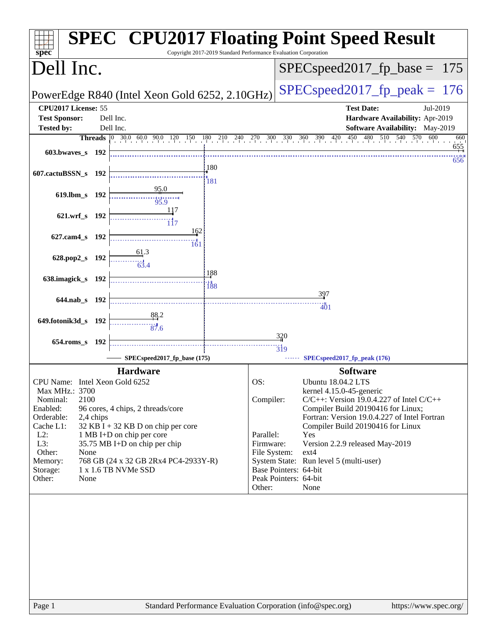| spec <sup>®</sup>                                                           | <b>SPEC<sup>®</sup> CPU2017 Floating Point Speed Result</b><br>Copyright 2017-2019 Standard Performance Evaluation Corporation |
|-----------------------------------------------------------------------------|--------------------------------------------------------------------------------------------------------------------------------|
| Dell Inc.                                                                   | $SPEC speed2017_fp\_base = 175$                                                                                                |
| PowerEdge R840 (Intel Xeon Gold 6252, 2.10GHz)                              | $SPEC speed2017_fp\_peak = 176$                                                                                                |
| CPU2017 License: 55<br><b>Test Sponsor:</b><br>Dell Inc.                    | <b>Test Date:</b><br>Jul-2019<br>Hardware Availability: Apr-2019                                                               |
| <b>Tested by:</b><br>Dell Inc.                                              | Software Availability: May-2019                                                                                                |
|                                                                             | Threads 0 30.0 60.0 90.0 120 150 180 210 240 270 300 330 360 390 420 450 480 510 540 570 600<br>660                            |
| 603.bwayes s 192                                                            | 655<br>656                                                                                                                     |
| 607.cactuBSSN_s 192                                                         | 180<br>181                                                                                                                     |
| 95.0<br>619.lbm_s 192<br>95.9                                               |                                                                                                                                |
| 117<br>621.wrf_s 192                                                        |                                                                                                                                |
| 162<br>627.cam4 s 192                                                       |                                                                                                                                |
| 161<br>628.pop2_s 192                                                       |                                                                                                                                |
|                                                                             |                                                                                                                                |
| 638.imagick_s 192                                                           | 188<br><br>188                                                                                                                 |
| 644.nab s 192                                                               | 397                                                                                                                            |
| 88.2                                                                        | 401                                                                                                                            |
| 649.fotonik3d_s 192<br>87.6                                                 |                                                                                                                                |
| $654$ .roms_s<br>- 192                                                      | 320                                                                                                                            |
| SPECspeed2017_fp_base (175)                                                 | $\overline{319}$<br>SPECspeed2017_fp_peak (176)                                                                                |
| <b>Hardware</b>                                                             | <b>Software</b>                                                                                                                |
| CPU Name: Intel Xeon Gold 6252                                              | OS:<br>Ubuntu 18.04.2 LTS                                                                                                      |
| Max MHz.: 3700                                                              | kernel 4.15.0-45-generic                                                                                                       |
| 2100<br>Nominal:<br>Enabled:<br>96 cores, 4 chips, 2 threads/core           | Compiler:<br>$C/C++$ : Version 19.0.4.227 of Intel $C/C++$<br>Compiler Build 20190416 for Linux;                               |
| Orderable:<br>2,4 chips                                                     | Fortran: Version 19.0.4.227 of Intel Fortran                                                                                   |
| Cache L1:<br>$32$ KB I + 32 KB D on chip per core                           | Compiler Build 20190416 for Linux                                                                                              |
| $L2$ :<br>1 MB I+D on chip per core<br>L3:<br>35.75 MB I+D on chip per chip | Parallel:<br>Yes<br>Firmware:<br>Version 2.2.9 released May-2019                                                               |
| Other:<br>None                                                              | File System:<br>ext4                                                                                                           |
| 768 GB (24 x 32 GB 2Rx4 PC4-2933Y-R)<br>Memory:<br>1 x 1.6 TB NVMe SSD      | System State: Run level 5 (multi-user)<br>Base Pointers: 64-bit                                                                |
| Storage:<br>Other:<br>None                                                  | Peak Pointers: 64-bit                                                                                                          |
|                                                                             | Other:<br>None                                                                                                                 |
|                                                                             |                                                                                                                                |
| Page 1                                                                      | Standard Performance Evaluation Corporation (info@spec.org)<br>https://www.spec.org/                                           |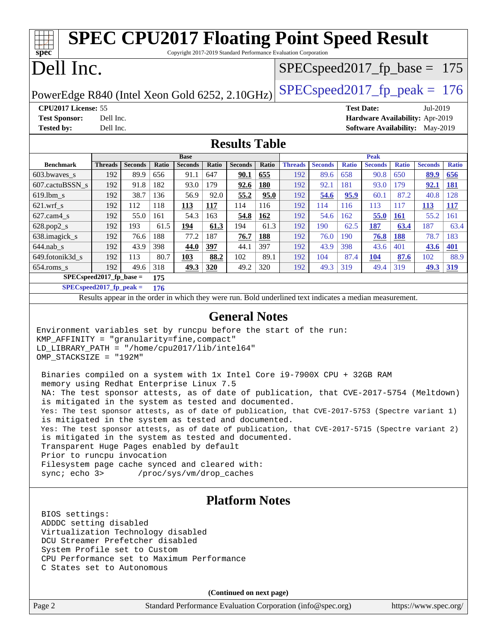| <b>SPEC CPU2017 Floating Point Speed Result</b><br>Copyright 2017-2019 Standard Performance Evaluation Corporation<br>spec <sup>®</sup>                                                                                                                                                                                                                                                                                                                                                                                                                                                                                                                                                                                                                                                                                                                                                                                                                                                    |                             |                        |              |                        |              |                        |              |                                                                                                          |                        |                     |                                        |                     |                        |                     |
|--------------------------------------------------------------------------------------------------------------------------------------------------------------------------------------------------------------------------------------------------------------------------------------------------------------------------------------------------------------------------------------------------------------------------------------------------------------------------------------------------------------------------------------------------------------------------------------------------------------------------------------------------------------------------------------------------------------------------------------------------------------------------------------------------------------------------------------------------------------------------------------------------------------------------------------------------------------------------------------------|-----------------------------|------------------------|--------------|------------------------|--------------|------------------------|--------------|----------------------------------------------------------------------------------------------------------|------------------------|---------------------|----------------------------------------|---------------------|------------------------|---------------------|
|                                                                                                                                                                                                                                                                                                                                                                                                                                                                                                                                                                                                                                                                                                                                                                                                                                                                                                                                                                                            | Dell Inc.                   |                        |              |                        |              |                        |              | $SPEC speed2017_f p\_base = 175$                                                                         |                        |                     |                                        |                     |                        |                     |
| PowerEdge R840 (Intel Xeon Gold 6252, 2.10GHz)                                                                                                                                                                                                                                                                                                                                                                                                                                                                                                                                                                                                                                                                                                                                                                                                                                                                                                                                             |                             |                        |              |                        |              |                        |              | $SPEC speed2017_fp\_peak = 176$                                                                          |                        |                     |                                        |                     |                        |                     |
| CPU2017 License: 55                                                                                                                                                                                                                                                                                                                                                                                                                                                                                                                                                                                                                                                                                                                                                                                                                                                                                                                                                                        |                             |                        |              |                        |              |                        |              |                                                                                                          |                        |                     | <b>Test Date:</b>                      |                     | Jul-2019               |                     |
| <b>Test Sponsor:</b>                                                                                                                                                                                                                                                                                                                                                                                                                                                                                                                                                                                                                                                                                                                                                                                                                                                                                                                                                                       | Dell Inc.                   |                        |              |                        |              |                        |              |                                                                                                          |                        |                     | Hardware Availability: Apr-2019        |                     |                        |                     |
| <b>Tested by:</b>                                                                                                                                                                                                                                                                                                                                                                                                                                                                                                                                                                                                                                                                                                                                                                                                                                                                                                                                                                          | Dell Inc.                   |                        |              |                        |              |                        |              |                                                                                                          |                        |                     | <b>Software Availability:</b> May-2019 |                     |                        |                     |
|                                                                                                                                                                                                                                                                                                                                                                                                                                                                                                                                                                                                                                                                                                                                                                                                                                                                                                                                                                                            |                             |                        |              |                        |              | <b>Results Table</b>   |              |                                                                                                          |                        |                     |                                        |                     |                        |                     |
|                                                                                                                                                                                                                                                                                                                                                                                                                                                                                                                                                                                                                                                                                                                                                                                                                                                                                                                                                                                            |                             |                        |              | <b>Base</b>            |              |                        |              |                                                                                                          |                        |                     | <b>Peak</b>                            |                     |                        |                     |
| <b>Benchmark</b><br>603.bwaves_s                                                                                                                                                                                                                                                                                                                                                                                                                                                                                                                                                                                                                                                                                                                                                                                                                                                                                                                                                           | <b>Threads</b><br>192       | <b>Seconds</b><br>89.9 | Ratio<br>656 | <b>Seconds</b><br>91.1 | Ratio<br>647 | <b>Seconds</b><br>90.1 | Ratio<br>655 | <b>Threads</b><br>192                                                                                    | <b>Seconds</b><br>89.6 | <b>Ratio</b><br>658 | <b>Seconds</b><br>90.8                 | <b>Ratio</b><br>650 | <b>Seconds</b><br>89.9 | <b>Ratio</b><br>656 |
| 607.cactuBSSN_s                                                                                                                                                                                                                                                                                                                                                                                                                                                                                                                                                                                                                                                                                                                                                                                                                                                                                                                                                                            | 192                         | 91.8                   | 182          | 93.0                   | 179          | 92.6                   | 180          | 192                                                                                                      | 92.1                   | 181                 | 93.0                                   | 179                 | 92.1                   | <u>181</u>          |
| 619.lbm_s                                                                                                                                                                                                                                                                                                                                                                                                                                                                                                                                                                                                                                                                                                                                                                                                                                                                                                                                                                                  | 192                         | 38.7                   | 136          | 56.9                   | 92.0         | 55.2                   | 95.0         | 192                                                                                                      | 54.6                   | 95.9                | 60.1                                   | 87.2                | 40.8                   | 128                 |
| $621.wrf$ _s                                                                                                                                                                                                                                                                                                                                                                                                                                                                                                                                                                                                                                                                                                                                                                                                                                                                                                                                                                               | 192                         | 112                    | 118          | <b>113</b>             | 117          | 114                    | 116          | 192                                                                                                      | 114                    | 116                 | 113                                    | 117                 | <u>113</u>             | <u>117</u>          |
| $627.cam4_s$                                                                                                                                                                                                                                                                                                                                                                                                                                                                                                                                                                                                                                                                                                                                                                                                                                                                                                                                                                               | 192                         | 55.0                   | 161          | 54.3                   | 163          | <u>54.8</u>            | 162          | 192                                                                                                      | 54.6                   | 162                 | 55.0                                   | <u>161</u>          | 55.2                   | 161                 |
| 628.pop2_s                                                                                                                                                                                                                                                                                                                                                                                                                                                                                                                                                                                                                                                                                                                                                                                                                                                                                                                                                                                 | 192                         | 193                    | 61.5         | 194                    | 61.3         | 194                    | 61.3         | 192                                                                                                      | 190                    | 62.5                | 187                                    | 63.4                | 187                    | 63.4                |
| 638.imagick_s                                                                                                                                                                                                                                                                                                                                                                                                                                                                                                                                                                                                                                                                                                                                                                                                                                                                                                                                                                              | 192                         | 76.6                   | 188          | 77.2                   | 187          | 76.7                   | <b>188</b>   | 192                                                                                                      | 76.0                   | 190                 | 76.8                                   | <b>188</b>          | 78.7                   | 183                 |
| $644.nab_s$                                                                                                                                                                                                                                                                                                                                                                                                                                                                                                                                                                                                                                                                                                                                                                                                                                                                                                                                                                                | 192                         | 43.9                   | 398          | 44.0                   | 397          | 44.1                   | 397          | 192                                                                                                      | 43.9                   | 398                 | 43.6                                   | 401                 | 43.6                   | 401                 |
| 649.fotonik3d_s                                                                                                                                                                                                                                                                                                                                                                                                                                                                                                                                                                                                                                                                                                                                                                                                                                                                                                                                                                            | 192                         | 113                    | 80.7         | 103                    | 88.2         | 102                    | 89.1         | 192                                                                                                      | 104                    | 87.4                | 104                                    | 87.6                | 102                    | 88.9                |
| $654$ .roms_s                                                                                                                                                                                                                                                                                                                                                                                                                                                                                                                                                                                                                                                                                                                                                                                                                                                                                                                                                                              | 192                         | 49.6                   | 318          | 49.3                   | 320          | 49.2                   | 320          | 192                                                                                                      | 49.3                   | 319                 | 49.4                                   | 319                 | 49.3                   | 319                 |
|                                                                                                                                                                                                                                                                                                                                                                                                                                                                                                                                                                                                                                                                                                                                                                                                                                                                                                                                                                                            | $SPEC speed2017_fp\_base =$ |                        | 175          |                        |              |                        |              |                                                                                                          |                        |                     |                                        |                     |                        |                     |
|                                                                                                                                                                                                                                                                                                                                                                                                                                                                                                                                                                                                                                                                                                                                                                                                                                                                                                                                                                                            | $SPECspeed2017_fp\_peak =$  |                        | 176          |                        |              |                        |              | Results appear in the order in which they were run. Bold underlined text indicates a median measurement. |                        |                     |                                        |                     |                        |                     |
|                                                                                                                                                                                                                                                                                                                                                                                                                                                                                                                                                                                                                                                                                                                                                                                                                                                                                                                                                                                            |                             |                        |              |                        |              |                        |              |                                                                                                          |                        |                     |                                        |                     |                        |                     |
| <b>General Notes</b><br>Environment variables set by runcpu before the start of the run:<br>KMP_AFFINITY = "granularity=fine, compact"<br>LD_LIBRARY_PATH = "/home/cpu2017/lib/intel64"<br>OMP_STACKSIZE = "192M"<br>Binaries compiled on a system with 1x Intel Core i9-7900X CPU + 32GB RAM<br>memory using Redhat Enterprise Linux 7.5<br>NA: The test sponsor attests, as of date of publication, that CVE-2017-5754 (Meltdown)<br>is mitigated in the system as tested and documented.<br>Yes: The test sponsor attests, as of date of publication, that CVE-2017-5753 (Spectre variant 1)<br>is mitigated in the system as tested and documented.<br>Yes: The test sponsor attests, as of date of publication, that CVE-2017-5715 (Spectre variant 2)<br>is mitigated in the system as tested and documented.<br>Transparent Huge Pages enabled by default<br>Prior to runcpu invocation<br>Filesystem page cache synced and cleared with:<br>sync: echo 3> /proc/sys/vm/drop_caches |                             |                        |              |                        |              |                        |              |                                                                                                          |                        |                     |                                        |                     |                        |                     |
| <b>Platform Notes</b><br>BIOS settings:<br>ADDDC setting disabled<br>Virtualization Technology disabled<br>DCU Streamer Prefetcher disabled<br>System Profile set to Custom<br>CPU Performance set to Maximum Performance<br>C States set to Autonomous                                                                                                                                                                                                                                                                                                                                                                                                                                                                                                                                                                                                                                                                                                                                    |                             |                        |              |                        |              |                        |              |                                                                                                          |                        |                     |                                        |                     |                        |                     |
| (Continued on next page)                                                                                                                                                                                                                                                                                                                                                                                                                                                                                                                                                                                                                                                                                                                                                                                                                                                                                                                                                                   |                             |                        |              |                        |              |                        |              |                                                                                                          |                        |                     |                                        |                     |                        |                     |
| Page 2                                                                                                                                                                                                                                                                                                                                                                                                                                                                                                                                                                                                                                                                                                                                                                                                                                                                                                                                                                                     |                             |                        |              |                        |              |                        |              | Standard Performance Evaluation Corporation (info@spec.org)                                              |                        |                     |                                        |                     | https://www.spec.org/  |                     |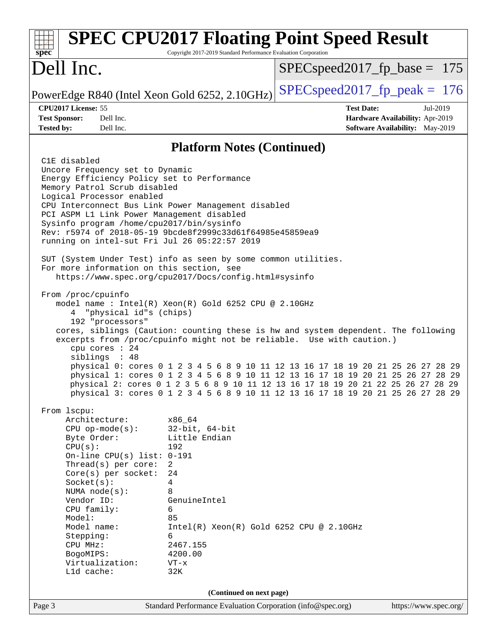| spec <sup>®</sup>                                                                                                                                                                                                                                                                                                                                                                                                           | <b>SPEC CPU2017 Floating Point Speed Result</b><br>Copyright 2017-2019 Standard Performance Evaluation Corporation                                                                                                                                                                                                                                                                                                                                                                                                                                                   |                                  |                                                                                |  |  |
|-----------------------------------------------------------------------------------------------------------------------------------------------------------------------------------------------------------------------------------------------------------------------------------------------------------------------------------------------------------------------------------------------------------------------------|----------------------------------------------------------------------------------------------------------------------------------------------------------------------------------------------------------------------------------------------------------------------------------------------------------------------------------------------------------------------------------------------------------------------------------------------------------------------------------------------------------------------------------------------------------------------|----------------------------------|--------------------------------------------------------------------------------|--|--|
| Dell Inc.                                                                                                                                                                                                                                                                                                                                                                                                                   |                                                                                                                                                                                                                                                                                                                                                                                                                                                                                                                                                                      | $SPEC speed2017_f p\_base = 175$ |                                                                                |  |  |
| PowerEdge R840 (Intel Xeon Gold 6252, 2.10GHz)                                                                                                                                                                                                                                                                                                                                                                              |                                                                                                                                                                                                                                                                                                                                                                                                                                                                                                                                                                      | $SPEC speed2017_fp\_peak = 176$  |                                                                                |  |  |
| CPU2017 License: 55<br><b>Test Sponsor:</b><br>Dell Inc.<br>Dell Inc.<br><b>Tested by:</b>                                                                                                                                                                                                                                                                                                                                  |                                                                                                                                                                                                                                                                                                                                                                                                                                                                                                                                                                      | <b>Test Date:</b>                | Jul-2019<br>Hardware Availability: Apr-2019<br>Software Availability: May-2019 |  |  |
|                                                                                                                                                                                                                                                                                                                                                                                                                             | <b>Platform Notes (Continued)</b>                                                                                                                                                                                                                                                                                                                                                                                                                                                                                                                                    |                                  |                                                                                |  |  |
| C1E disabled<br>Uncore Frequency set to Dynamic<br>Energy Efficiency Policy set to Performance<br>Memory Patrol Scrub disabled<br>Logical Processor enabled<br>CPU Interconnect Bus Link Power Management disabled<br>PCI ASPM L1 Link Power Management disabled<br>Sysinfo program /home/cpu2017/bin/sysinfo<br>Rev: r5974 of 2018-05-19 9bcde8f2999c33d61f64985e45859ea9<br>running on intel-sut Fri Jul 26 05:22:57 2019 |                                                                                                                                                                                                                                                                                                                                                                                                                                                                                                                                                                      |                                  |                                                                                |  |  |
| SUT (System Under Test) info as seen by some common utilities.<br>For more information on this section, see                                                                                                                                                                                                                                                                                                                 | https://www.spec.org/cpu2017/Docs/config.html#sysinfo                                                                                                                                                                                                                                                                                                                                                                                                                                                                                                                |                                  |                                                                                |  |  |
| From /proc/cpuinfo<br>4 "physical id"s (chips)<br>192 "processors"<br>cpu cores : 24<br>siblings : 48                                                                                                                                                                                                                                                                                                                       | model name: Intel(R) Xeon(R) Gold 6252 CPU @ 2.10GHz<br>cores, siblings (Caution: counting these is hw and system dependent. The following<br>excerpts from /proc/cpuinfo might not be reliable. Use with caution.)<br>physical 0: cores 0 1 2 3 4 5 6 8 9 10 11 12 13 16 17 18 19 20 21 25 26 27 28 29<br>physical 1: cores 0 1 2 3 4 5 6 8 9 10 11 12 13 16 17 18 19 20 21 25 26 27 28 29<br>physical 2: cores 0 1 2 3 5 6 8 9 10 11 12 13 16 17 18 19 20 21 22 25 26 27 28 29<br>physical 3: cores 0 1 2 3 4 5 6 8 9 10 11 12 13 16 17 18 19 20 21 25 26 27 28 29 |                                  |                                                                                |  |  |
| From lscpu:<br>Architecture:<br>$CPU$ op-mode( $s$ ):<br>Byte Order:<br>CPU(s):<br>On-line CPU(s) list: 0-191<br>Thread(s) per core:<br>$Core(s)$ per socket:<br>Socket(s):<br>NUMA $node(s):$<br>Vendor ID:<br>CPU family:<br>Model:<br>Model name:<br>Stepping:<br>CPU MHz:<br>BogoMIPS:<br>Virtualization:<br>L1d cache:                                                                                                 | x86_64<br>$32$ -bit, $64$ -bit<br>Little Endian<br>192<br>$\overline{2}$<br>24<br>4<br>8<br>GenuineIntel<br>6<br>85<br>$Intel(R) Xeon(R) Gold 6252 CPU @ 2.10GHz$<br>6<br>2467.155<br>4200.00<br>$VT - x$<br>32K                                                                                                                                                                                                                                                                                                                                                     |                                  |                                                                                |  |  |
| (Continued on next page)                                                                                                                                                                                                                                                                                                                                                                                                    |                                                                                                                                                                                                                                                                                                                                                                                                                                                                                                                                                                      |                                  |                                                                                |  |  |
| Page 3                                                                                                                                                                                                                                                                                                                                                                                                                      | Standard Performance Evaluation Corporation (info@spec.org)                                                                                                                                                                                                                                                                                                                                                                                                                                                                                                          |                                  | https://www.spec.org/                                                          |  |  |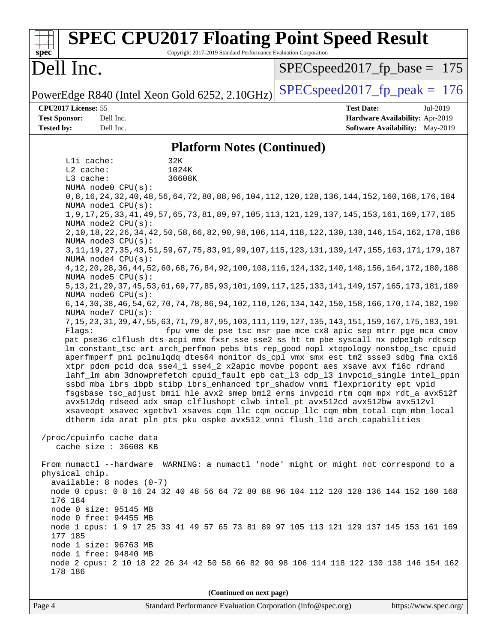| <b>SPEC CPU2017 Floating Point Speed Result</b><br>Copyright 2017-2019 Standard Performance Evaluation Corporation<br>$spec^*$                                                                                                                                                                                                                                                                                                                                                                                                                                                                                                                                                                                                                                                                                                                                                                                                                                                                                                                                                                                                                                                                                                                                                                                                                                                                                                                                                                                                                                                                                                                                                                                                                                                                                                                                                                                                                                                                                                                                                                                                                                                                                                                                                                                                                                                                                                                                                                                                                                                                                      |                                                                                                     |
|---------------------------------------------------------------------------------------------------------------------------------------------------------------------------------------------------------------------------------------------------------------------------------------------------------------------------------------------------------------------------------------------------------------------------------------------------------------------------------------------------------------------------------------------------------------------------------------------------------------------------------------------------------------------------------------------------------------------------------------------------------------------------------------------------------------------------------------------------------------------------------------------------------------------------------------------------------------------------------------------------------------------------------------------------------------------------------------------------------------------------------------------------------------------------------------------------------------------------------------------------------------------------------------------------------------------------------------------------------------------------------------------------------------------------------------------------------------------------------------------------------------------------------------------------------------------------------------------------------------------------------------------------------------------------------------------------------------------------------------------------------------------------------------------------------------------------------------------------------------------------------------------------------------------------------------------------------------------------------------------------------------------------------------------------------------------------------------------------------------------------------------------------------------------------------------------------------------------------------------------------------------------------------------------------------------------------------------------------------------------------------------------------------------------------------------------------------------------------------------------------------------------------------------------------------------------------------------------------------------------|-----------------------------------------------------------------------------------------------------|
| Dell Inc.                                                                                                                                                                                                                                                                                                                                                                                                                                                                                                                                                                                                                                                                                                                                                                                                                                                                                                                                                                                                                                                                                                                                                                                                                                                                                                                                                                                                                                                                                                                                                                                                                                                                                                                                                                                                                                                                                                                                                                                                                                                                                                                                                                                                                                                                                                                                                                                                                                                                                                                                                                                                           | $SPEC speed2017_fp\_base = 175$                                                                     |
| PowerEdge R840 (Intel Xeon Gold 6252, 2.10GHz)                                                                                                                                                                                                                                                                                                                                                                                                                                                                                                                                                                                                                                                                                                                                                                                                                                                                                                                                                                                                                                                                                                                                                                                                                                                                                                                                                                                                                                                                                                                                                                                                                                                                                                                                                                                                                                                                                                                                                                                                                                                                                                                                                                                                                                                                                                                                                                                                                                                                                                                                                                      | $SPEC speed2017_fp\_peak = 176$                                                                     |
| CPU2017 License: 55<br><b>Test Sponsor:</b><br>Dell Inc.<br><b>Tested by:</b><br>Dell Inc.                                                                                                                                                                                                                                                                                                                                                                                                                                                                                                                                                                                                                                                                                                                                                                                                                                                                                                                                                                                                                                                                                                                                                                                                                                                                                                                                                                                                                                                                                                                                                                                                                                                                                                                                                                                                                                                                                                                                                                                                                                                                                                                                                                                                                                                                                                                                                                                                                                                                                                                          | <b>Test Date:</b><br>Jul-2019<br>Hardware Availability: Apr-2019<br>Software Availability: May-2019 |
| <b>Platform Notes (Continued)</b>                                                                                                                                                                                                                                                                                                                                                                                                                                                                                                                                                                                                                                                                                                                                                                                                                                                                                                                                                                                                                                                                                                                                                                                                                                                                                                                                                                                                                                                                                                                                                                                                                                                                                                                                                                                                                                                                                                                                                                                                                                                                                                                                                                                                                                                                                                                                                                                                                                                                                                                                                                                   |                                                                                                     |
| Lli cache:<br>32K<br>L2 cache:<br>1024K<br>L3 cache:<br>36608K<br>NUMA node0 CPU(s):<br>0,8,16,24,32,40,48,56,64,72,80,88,96,104,112,120,128,136,144,152,160,168,176,184<br>NUMA nodel CPU(s):<br>1, 9, 17, 25, 33, 41, 49, 57, 65, 73, 81, 89, 97, 105, 113, 121, 129, 137, 145, 153, 161, 169, 177, 185<br>NUMA node2 CPU(s):<br>2, 10, 18, 22, 26, 34, 42, 50, 58, 66, 82, 90, 98, 106, 114, 118, 122, 130, 138, 146, 154, 162, 178, 186<br>NUMA node3 CPU(s):<br>3, 11, 19, 27, 35, 43, 51, 59, 67, 75, 83, 91, 99, 107, 115, 123, 131, 139, 147, 155, 163, 171, 179, 187<br>NUMA node4 CPU(s):<br>4, 12, 20, 28, 36, 44, 52, 60, 68, 76, 84, 92, 100, 108, 116, 124, 132, 140, 148, 156, 164, 172, 180, 188<br>NUMA node5 CPU(s):<br>5, 13, 21, 29, 37, 45, 53, 61, 69, 77, 85, 93, 101, 109, 117, 125, 133, 141, 149, 157, 165, 173, 181, 189<br>NUMA node6 CPU(s):<br>6, 14, 30, 38, 46, 54, 62, 70, 74, 78, 86, 94, 102, 110, 126, 134, 142, 150, 158, 166, 170, 174, 182, 190<br>NUMA node7 CPU(s):<br>7, 15, 23, 31, 39, 47, 55, 63, 71, 79, 87, 95, 103, 111, 119, 127, 135, 143, 151, 159, 167, 175, 183, 191<br>Flags:<br>pat pse36 clflush dts acpi mmx fxsr sse sse2 ss ht tm pbe syscall nx pdpelgb rdtscp<br>lm constant_tsc art arch_perfmon pebs bts rep_good nopl xtopology nonstop_tsc cpuid<br>aperfmperf pni pclmulqdq dtes64 monitor ds_cpl vmx smx est tm2 ssse3 sdbg fma cx16<br>xtpr pdcm pcid dca sse4_1 sse4_2 x2apic movbe popcnt aes xsave avx f16c rdrand<br>lahf_lm abm 3dnowprefetch cpuid_fault epb cat_13 cdp_13 invpcid_single intel_ppin<br>ssbd mba ibrs ibpb stibp ibrs_enhanced tpr_shadow vnmi flexpriority ept vpid<br>fsgsbase tsc_adjust bmil hle avx2 smep bmi2 erms invpcid rtm cqm mpx rdt_a avx512f<br>avx512dq rdseed adx smap clflushopt clwb intel_pt avx512cd avx512bw avx512vl<br>xsaveopt xsavec xgetbvl xsaves cqm_llc cqm_occup_llc cqm_mbm_total cqm_mbm_local<br>dtherm ida arat pln pts pku ospke avx512_vnni flush_lld arch_capabilities<br>/proc/cpuinfo cache data<br>cache size : 36608 KB<br>From numactl --hardware WARNING: a numactl 'node' might or might not correspond to a<br>physical chip.<br>$available: 8 nodes (0-7)$<br>node 0 cpus: 0 8 16 24 32 40 48 56 64 72 80 88 96 104 112 120 128 136 144 152 160 168<br>176 184<br>node 0 size: 95145 MB<br>node 0 free: 94455 MB<br>node 1 cpus: 1 9 17 25 33 41 49 57 65 73 81 89 97 105 113 121 129 137 145 153 161 169<br>177 185<br>node 1 size: 96763 MB<br>node 1 free: 94840 MB<br>node 2 cpus: 2 10 18 22 26 34 42 50 58 66 82 90 98 106 114 118 122 130 138 146 154 162<br>178 186 | fpu vme de pse tsc msr pae mce cx8 apic sep mtrr pge mca cmov                                       |
| (Continued on next page)                                                                                                                                                                                                                                                                                                                                                                                                                                                                                                                                                                                                                                                                                                                                                                                                                                                                                                                                                                                                                                                                                                                                                                                                                                                                                                                                                                                                                                                                                                                                                                                                                                                                                                                                                                                                                                                                                                                                                                                                                                                                                                                                                                                                                                                                                                                                                                                                                                                                                                                                                                                            |                                                                                                     |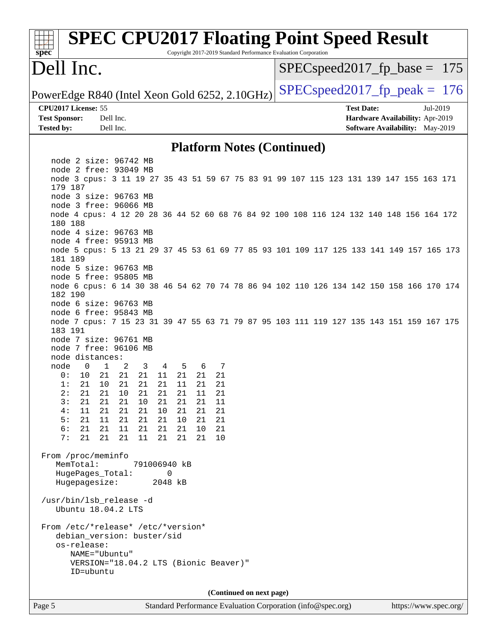| <b>SPEC CPU2017 Floating Point Speed Result</b><br>Copyright 2017-2019 Standard Performance Evaluation Corporation<br>spec <sup>®</sup> |                                                                                                     |  |  |  |  |  |
|-----------------------------------------------------------------------------------------------------------------------------------------|-----------------------------------------------------------------------------------------------------|--|--|--|--|--|
| Dell Inc.                                                                                                                               | $SPEC speed2017_f p\_base = 175$                                                                    |  |  |  |  |  |
| PowerEdge R840 (Intel Xeon Gold 6252, 2.10GHz)                                                                                          | $SPEC speed2017_fp\_peak = 176$                                                                     |  |  |  |  |  |
| CPU2017 License: 55<br><b>Test Sponsor:</b><br>Dell Inc.<br><b>Tested by:</b><br>Dell Inc.                                              | <b>Test Date:</b><br>Jul-2019<br>Hardware Availability: Apr-2019<br>Software Availability: May-2019 |  |  |  |  |  |
| <b>Platform Notes (Continued)</b>                                                                                                       |                                                                                                     |  |  |  |  |  |
| node 2 size: 96742 MB                                                                                                                   |                                                                                                     |  |  |  |  |  |
| node 2 free: 93049 MB<br>node 3 cpus: 3 11 19 27 35 43 51 59 67 75 83 91 99 107 115 123 131 139 147 155 163 171<br>179 187              |                                                                                                     |  |  |  |  |  |
| node 3 size: 96763 MB<br>node 3 free: 96066 MB                                                                                          |                                                                                                     |  |  |  |  |  |
| node 4 cpus: 4 12 20 28 36 44 52 60 68 76 84 92 100 108 116 124 132 140 148 156 164 172<br>180 188                                      |                                                                                                     |  |  |  |  |  |
| node 4 size: 96763 MB<br>node 4 free: 95913 MB                                                                                          |                                                                                                     |  |  |  |  |  |
| node 5 cpus: 5 13 21 29 37 45 53 61 69 77 85 93 101 109 117 125 133 141 149 157 165 173<br>181 189<br>node 5 size: 96763 MB             |                                                                                                     |  |  |  |  |  |
| node 5 free: 95805 MB<br>node 6 cpus: 6 14 30 38 46 54 62 70 74 78 86 94 102 110 126 134 142 150 158 166 170 174<br>182 190             |                                                                                                     |  |  |  |  |  |
| node 6 size: 96763 MB                                                                                                                   |                                                                                                     |  |  |  |  |  |
| node 6 free: 95843 MB<br>node 7 cpus: 7 15 23 31 39 47 55 63 71 79 87 95 103 111 119 127 135 143 151 159 167 175<br>183 191             |                                                                                                     |  |  |  |  |  |
| node 7 size: 96761 MB<br>node 7 free: 96106 MB<br>node distances:                                                                       |                                                                                                     |  |  |  |  |  |
| $\overline{0}$<br>$\mathbf{1}$<br>node<br>2<br>3<br>4<br>5<br>7<br>6                                                                    |                                                                                                     |  |  |  |  |  |
| 21<br>21<br>21<br>11<br>21<br>21<br>21<br>0 :<br>10<br>21<br>21<br>21<br>21<br>10<br>11<br>21<br>21<br>1:                               |                                                                                                     |  |  |  |  |  |
| 21  21  10  21  21  21<br>11 21<br>2:                                                                                                   |                                                                                                     |  |  |  |  |  |
| 3:<br>21<br>21<br>21<br>21<br>21<br>21<br>11<br>10<br>4:<br>21<br>21<br>21<br>10<br>21<br>21<br>21<br>11                                |                                                                                                     |  |  |  |  |  |
| 5:<br>21<br>11<br>21<br>21<br>21<br>10<br>21<br>21                                                                                      |                                                                                                     |  |  |  |  |  |
| 21<br>21<br>6 :<br>21<br>11<br>21<br>21<br>10<br>21<br>7:<br>21<br>21<br>21<br>11<br>21<br>21<br>21<br>10                               |                                                                                                     |  |  |  |  |  |
| From /proc/meminfo<br>MemTotal:<br>791006940 kB                                                                                         |                                                                                                     |  |  |  |  |  |
| HugePages_Total:<br>0<br>Hugepagesize:<br>2048 kB                                                                                       |                                                                                                     |  |  |  |  |  |
| /usr/bin/lsb_release -d<br>Ubuntu 18.04.2 LTS                                                                                           |                                                                                                     |  |  |  |  |  |
| From /etc/*release* /etc/*version*<br>debian_version: buster/sid                                                                        |                                                                                                     |  |  |  |  |  |
| os-release:<br>NAME="Ubuntu"<br>VERSION="18.04.2 LTS (Bionic Beaver)"<br>ID=ubuntu                                                      |                                                                                                     |  |  |  |  |  |
|                                                                                                                                         |                                                                                                     |  |  |  |  |  |
| (Continued on next page)<br>Standard Performance Evaluation Corporation (info@spec.org)                                                 |                                                                                                     |  |  |  |  |  |
| Page 5                                                                                                                                  | https://www.spec.org/                                                                               |  |  |  |  |  |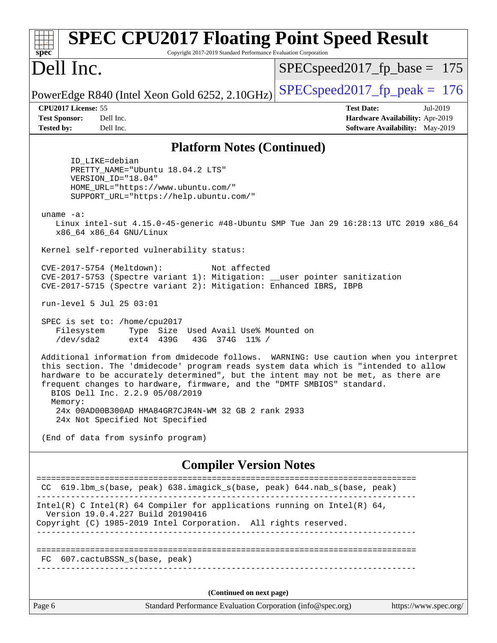| <b>SPEC CPU2017 Floating Point Speed Result</b><br>Copyright 2017-2019 Standard Performance Evaluation Corporation<br>$spec^*$                                                                                                                                                                                                                                                    |                                                                                                            |  |  |  |  |  |
|-----------------------------------------------------------------------------------------------------------------------------------------------------------------------------------------------------------------------------------------------------------------------------------------------------------------------------------------------------------------------------------|------------------------------------------------------------------------------------------------------------|--|--|--|--|--|
| Dell Inc.                                                                                                                                                                                                                                                                                                                                                                         | $SPEC speed2017_fp\_base = 175$                                                                            |  |  |  |  |  |
| PowerEdge R840 (Intel Xeon Gold 6252, 2.10GHz)                                                                                                                                                                                                                                                                                                                                    | $SPEC speed2017_fp\_peak = 176$                                                                            |  |  |  |  |  |
| CPU2017 License: 55<br><b>Test Sponsor:</b><br>Dell Inc.<br><b>Tested by:</b><br>Dell Inc.                                                                                                                                                                                                                                                                                        | <b>Test Date:</b><br>Jul-2019<br>Hardware Availability: Apr-2019<br><b>Software Availability:</b> May-2019 |  |  |  |  |  |
| <b>Platform Notes (Continued)</b>                                                                                                                                                                                                                                                                                                                                                 |                                                                                                            |  |  |  |  |  |
| ID_LIKE=debian<br>PRETTY_NAME="Ubuntu 18.04.2 LTS"<br>VERSION_ID="18.04"<br>HOME_URL="https://www.ubuntu.com/"<br>SUPPORT_URL="https://help.ubuntu.com/"<br>uname $-a$ :                                                                                                                                                                                                          |                                                                                                            |  |  |  |  |  |
| Linux intel-sut 4.15.0-45-generic #48-Ubuntu SMP Tue Jan 29 16:28:13 UTC 2019 x86_64<br>x86_64 x86_64 GNU/Linux                                                                                                                                                                                                                                                                   |                                                                                                            |  |  |  |  |  |
| Kernel self-reported vulnerability status:                                                                                                                                                                                                                                                                                                                                        |                                                                                                            |  |  |  |  |  |
| CVE-2017-5754 (Meltdown):<br>Not affected<br>CVE-2017-5753 (Spectre variant 1): Mitigation: __user pointer sanitization<br>CVE-2017-5715 (Spectre variant 2): Mitigation: Enhanced IBRS, IBPB                                                                                                                                                                                     |                                                                                                            |  |  |  |  |  |
| run-level 5 Jul 25 03:01                                                                                                                                                                                                                                                                                                                                                          |                                                                                                            |  |  |  |  |  |
| SPEC is set to: /home/cpu2017<br>Filesystem<br>Type Size Used Avail Use% Mounted on<br>/dev/sda2<br>ext4 439G<br>43G 374G 11% /                                                                                                                                                                                                                                                   |                                                                                                            |  |  |  |  |  |
| Additional information from dmidecode follows. WARNING: Use caution when you interpret<br>this section. The 'dmidecode' program reads system data which is "intended to allow<br>hardware to be accurately determined", but the intent may not be met, as there are<br>frequent changes to hardware, firmware, and the "DMTF SMBIOS" standard.<br>BIOS Dell Inc. 2.2.9 05/08/2019 |                                                                                                            |  |  |  |  |  |
| Memory:<br>24x 00AD00B300AD HMA84GR7CJR4N-WM 32 GB 2 rank 2933<br>24x Not Specified Not Specified                                                                                                                                                                                                                                                                                 |                                                                                                            |  |  |  |  |  |
| (End of data from sysinfo program)                                                                                                                                                                                                                                                                                                                                                |                                                                                                            |  |  |  |  |  |
| <b>Compiler Version Notes</b>                                                                                                                                                                                                                                                                                                                                                     |                                                                                                            |  |  |  |  |  |
| CC 619.1bm_s(base, peak) 638.imagick_s(base, peak) 644.nab_s(base, peak)                                                                                                                                                                                                                                                                                                          |                                                                                                            |  |  |  |  |  |
| Intel(R) C Intel(R) 64 Compiler for applications running on Intel(R) 64,<br>Version 19.0.4.227 Build 20190416<br>Copyright (C) 1985-2019 Intel Corporation. All rights reserved.                                                                                                                                                                                                  |                                                                                                            |  |  |  |  |  |
| FC 607.cactuBSSN_s(base, peak)                                                                                                                                                                                                                                                                                                                                                    |                                                                                                            |  |  |  |  |  |
| (Continued on next page)                                                                                                                                                                                                                                                                                                                                                          |                                                                                                            |  |  |  |  |  |
| Standard Performance Evaluation Corporation (info@spec.org)<br>Page 6                                                                                                                                                                                                                                                                                                             | https://www.spec.org/                                                                                      |  |  |  |  |  |
|                                                                                                                                                                                                                                                                                                                                                                                   |                                                                                                            |  |  |  |  |  |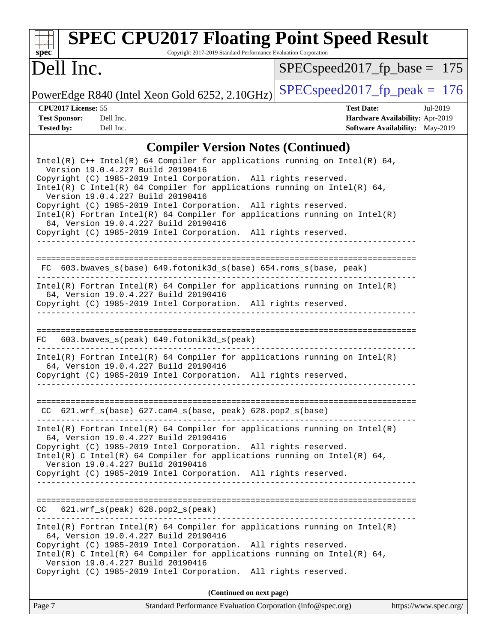# **[spec](http://www.spec.org/)**

# **[SPEC CPU2017 Floating Point Speed Result](http://www.spec.org/auto/cpu2017/Docs/result-fields.html#SPECCPU2017FloatingPointSpeedResult)**

Copyright 2017-2019 Standard Performance Evaluation Corporation

## Dell Inc.

[SPECspeed2017\\_fp\\_base =](http://www.spec.org/auto/cpu2017/Docs/result-fields.html#SPECspeed2017fpbase) 175

PowerEdge R840 (Intel Xeon Gold 6252, 2.10GHz) [SPECspeed2017\\_fp\\_peak =](http://www.spec.org/auto/cpu2017/Docs/result-fields.html#SPECspeed2017fppeak)  $176$ 

**[Tested by:](http://www.spec.org/auto/cpu2017/Docs/result-fields.html#Testedby)** Dell Inc. Dell Inc. **[Software Availability:](http://www.spec.org/auto/cpu2017/Docs/result-fields.html#SoftwareAvailability)** May-2019

**[CPU2017 License:](http://www.spec.org/auto/cpu2017/Docs/result-fields.html#CPU2017License)** 55 **[Test Date:](http://www.spec.org/auto/cpu2017/Docs/result-fields.html#TestDate)** Jul-2019 **[Test Sponsor:](http://www.spec.org/auto/cpu2017/Docs/result-fields.html#TestSponsor)** Dell Inc. **[Hardware Availability:](http://www.spec.org/auto/cpu2017/Docs/result-fields.html#HardwareAvailability)** Apr-2019

#### **[Compiler Version Notes \(Continued\)](http://www.spec.org/auto/cpu2017/Docs/result-fields.html#CompilerVersionNotes)**

| Standard Performance Evaluation Corporation (info@spec.org)<br>Page 7                                                                                                                                                                                                                                     | https://www.spec.org/ |
|-----------------------------------------------------------------------------------------------------------------------------------------------------------------------------------------------------------------------------------------------------------------------------------------------------------|-----------------------|
| (Continued on next page)                                                                                                                                                                                                                                                                                  |                       |
| 64, Version 19.0.4.227 Build 20190416<br>Copyright (C) 1985-2019 Intel Corporation. All rights reserved.<br>Intel(R) C Intel(R) 64 Compiler for applications running on Intel(R) 64,<br>Version 19.0.4.227 Build 20190416<br>Copyright (C) 1985-2019 Intel Corporation. All rights reserved.              |                       |
| $Intel(R)$ Fortran Intel(R) 64 Compiler for applications running on Intel(R)                                                                                                                                                                                                                              |                       |
| $CC$ 621.wrf_s(peak) 628.pop2_s(peak)                                                                                                                                                                                                                                                                     |                       |
| Copyright (C) 1985-2019 Intel Corporation. All rights reserved.                                                                                                                                                                                                                                           |                       |
| $Intel(R)$ Fortran Intel(R) 64 Compiler for applications running on Intel(R)<br>64, Version 19.0.4.227 Build 20190416<br>Copyright (C) 1985-2019 Intel Corporation. All rights reserved.<br>Intel(R) C Intel(R) 64 Compiler for applications running on Intel(R) 64,<br>Version 19.0.4.227 Build 20190416 |                       |
| $CC$ 621.wrf_s(base) 627.cam4_s(base, peak) 628.pop2_s(base)<br>------------------------------------<br>. <u>_ _ _ _ _ _ _ _ _ _ _ _ _ _</u>                                                                                                                                                              |                       |
| $Intel(R)$ Fortran Intel(R) 64 Compiler for applications running on Intel(R)<br>64, Version 19.0.4.227 Build 20190416<br>Copyright (C) 1985-2019 Intel Corporation. All rights reserved.                                                                                                                  |                       |
| 603.bwaves_s(peak) 649.fotonik3d_s(peak)<br>FC                                                                                                                                                                                                                                                            |                       |
| Copyright (C) 1985-2019 Intel Corporation. All rights reserved.                                                                                                                                                                                                                                           |                       |
| Intel(R) Fortran Intel(R) 64 Compiler for applications running on Intel(R)<br>64, Version 19.0.4.227 Build 20190416                                                                                                                                                                                       |                       |
| FC 603.bwaves_s(base) 649.fotonik3d_s(base) 654.roms_s(base, peak)                                                                                                                                                                                                                                        |                       |
| Copyright (C) 1985-2019 Intel Corporation. All rights reserved.                                                                                                                                                                                                                                           |                       |
| Copyright (C) 1985-2019 Intel Corporation. All rights reserved.<br>$Intel(R)$ Fortran Intel(R) 64 Compiler for applications running on Intel(R)<br>64, Version 19.0.4.227 Build 20190416                                                                                                                  |                       |
| Version 19.0.4.227 Build 20190416<br>Copyright (C) 1985-2019 Intel Corporation. All rights reserved.<br>Intel(R) C Intel(R) 64 Compiler for applications running on Intel(R) 64,<br>Version 19.0.4.227 Build 20190416                                                                                     |                       |
| Intel(R) $C++$ Intel(R) 64 Compiler for applications running on Intel(R) 64,                                                                                                                                                                                                                              |                       |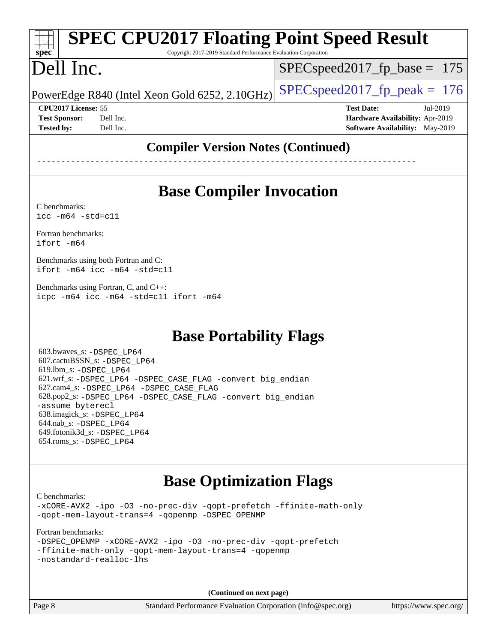#### **[spec](http://www.spec.org/) [SPEC CPU2017 Floating Point Speed Result](http://www.spec.org/auto/cpu2017/Docs/result-fields.html#SPECCPU2017FloatingPointSpeedResult)** Copyright 2017-2019 Standard Performance Evaluation Corporation

# Dell Inc.

SPECspeed2017 fp base =  $175$ 

PowerEdge R840 (Intel Xeon Gold 6252, 2.10GHz)  $\left|$  [SPECspeed2017\\_fp\\_peak =](http://www.spec.org/auto/cpu2017/Docs/result-fields.html#SPECspeed2017fppeak) 176

**[Tested by:](http://www.spec.org/auto/cpu2017/Docs/result-fields.html#Testedby)** Dell Inc. **[Software Availability:](http://www.spec.org/auto/cpu2017/Docs/result-fields.html#SoftwareAvailability)** May-2019

**[CPU2017 License:](http://www.spec.org/auto/cpu2017/Docs/result-fields.html#CPU2017License)** 55 **[Test Date:](http://www.spec.org/auto/cpu2017/Docs/result-fields.html#TestDate)** Jul-2019 **[Test Sponsor:](http://www.spec.org/auto/cpu2017/Docs/result-fields.html#TestSponsor)** Dell Inc. **[Hardware Availability:](http://www.spec.org/auto/cpu2017/Docs/result-fields.html#HardwareAvailability)** Apr-2019

#### **[Compiler Version Notes \(Continued\)](http://www.spec.org/auto/cpu2017/Docs/result-fields.html#CompilerVersionNotes)**

------------------------------------------------------------------------------

### **[Base Compiler Invocation](http://www.spec.org/auto/cpu2017/Docs/result-fields.html#BaseCompilerInvocation)**

[C benchmarks](http://www.spec.org/auto/cpu2017/Docs/result-fields.html#Cbenchmarks): [icc -m64 -std=c11](http://www.spec.org/cpu2017/results/res2019q3/cpu2017-20190805-16498.flags.html#user_CCbase_intel_icc_64bit_c11_33ee0cdaae7deeeab2a9725423ba97205ce30f63b9926c2519791662299b76a0318f32ddfffdc46587804de3178b4f9328c46fa7c2b0cd779d7a61945c91cd35)

[Fortran benchmarks](http://www.spec.org/auto/cpu2017/Docs/result-fields.html#Fortranbenchmarks): [ifort -m64](http://www.spec.org/cpu2017/results/res2019q3/cpu2017-20190805-16498.flags.html#user_FCbase_intel_ifort_64bit_24f2bb282fbaeffd6157abe4f878425411749daecae9a33200eee2bee2fe76f3b89351d69a8130dd5949958ce389cf37ff59a95e7a40d588e8d3a57e0c3fd751)

[Benchmarks using both Fortran and C](http://www.spec.org/auto/cpu2017/Docs/result-fields.html#BenchmarksusingbothFortranandC): [ifort -m64](http://www.spec.org/cpu2017/results/res2019q3/cpu2017-20190805-16498.flags.html#user_CC_FCbase_intel_ifort_64bit_24f2bb282fbaeffd6157abe4f878425411749daecae9a33200eee2bee2fe76f3b89351d69a8130dd5949958ce389cf37ff59a95e7a40d588e8d3a57e0c3fd751) [icc -m64 -std=c11](http://www.spec.org/cpu2017/results/res2019q3/cpu2017-20190805-16498.flags.html#user_CC_FCbase_intel_icc_64bit_c11_33ee0cdaae7deeeab2a9725423ba97205ce30f63b9926c2519791662299b76a0318f32ddfffdc46587804de3178b4f9328c46fa7c2b0cd779d7a61945c91cd35)

[Benchmarks using Fortran, C, and C++:](http://www.spec.org/auto/cpu2017/Docs/result-fields.html#BenchmarksusingFortranCandCXX) [icpc -m64](http://www.spec.org/cpu2017/results/res2019q3/cpu2017-20190805-16498.flags.html#user_CC_CXX_FCbase_intel_icpc_64bit_4ecb2543ae3f1412ef961e0650ca070fec7b7afdcd6ed48761b84423119d1bf6bdf5cad15b44d48e7256388bc77273b966e5eb805aefd121eb22e9299b2ec9d9) [icc -m64 -std=c11](http://www.spec.org/cpu2017/results/res2019q3/cpu2017-20190805-16498.flags.html#user_CC_CXX_FCbase_intel_icc_64bit_c11_33ee0cdaae7deeeab2a9725423ba97205ce30f63b9926c2519791662299b76a0318f32ddfffdc46587804de3178b4f9328c46fa7c2b0cd779d7a61945c91cd35) [ifort -m64](http://www.spec.org/cpu2017/results/res2019q3/cpu2017-20190805-16498.flags.html#user_CC_CXX_FCbase_intel_ifort_64bit_24f2bb282fbaeffd6157abe4f878425411749daecae9a33200eee2bee2fe76f3b89351d69a8130dd5949958ce389cf37ff59a95e7a40d588e8d3a57e0c3fd751)

#### **[Base Portability Flags](http://www.spec.org/auto/cpu2017/Docs/result-fields.html#BasePortabilityFlags)**

 603.bwaves\_s: [-DSPEC\\_LP64](http://www.spec.org/cpu2017/results/res2019q3/cpu2017-20190805-16498.flags.html#suite_basePORTABILITY603_bwaves_s_DSPEC_LP64) 607.cactuBSSN\_s: [-DSPEC\\_LP64](http://www.spec.org/cpu2017/results/res2019q3/cpu2017-20190805-16498.flags.html#suite_basePORTABILITY607_cactuBSSN_s_DSPEC_LP64) 619.lbm\_s: [-DSPEC\\_LP64](http://www.spec.org/cpu2017/results/res2019q3/cpu2017-20190805-16498.flags.html#suite_basePORTABILITY619_lbm_s_DSPEC_LP64) 621.wrf\_s: [-DSPEC\\_LP64](http://www.spec.org/cpu2017/results/res2019q3/cpu2017-20190805-16498.flags.html#suite_basePORTABILITY621_wrf_s_DSPEC_LP64) [-DSPEC\\_CASE\\_FLAG](http://www.spec.org/cpu2017/results/res2019q3/cpu2017-20190805-16498.flags.html#b621.wrf_s_baseCPORTABILITY_DSPEC_CASE_FLAG) [-convert big\\_endian](http://www.spec.org/cpu2017/results/res2019q3/cpu2017-20190805-16498.flags.html#user_baseFPORTABILITY621_wrf_s_convert_big_endian_c3194028bc08c63ac5d04de18c48ce6d347e4e562e8892b8bdbdc0214820426deb8554edfa529a3fb25a586e65a3d812c835984020483e7e73212c4d31a38223) 627.cam4\_s: [-DSPEC\\_LP64](http://www.spec.org/cpu2017/results/res2019q3/cpu2017-20190805-16498.flags.html#suite_basePORTABILITY627_cam4_s_DSPEC_LP64) [-DSPEC\\_CASE\\_FLAG](http://www.spec.org/cpu2017/results/res2019q3/cpu2017-20190805-16498.flags.html#b627.cam4_s_baseCPORTABILITY_DSPEC_CASE_FLAG) 628.pop2\_s: [-DSPEC\\_LP64](http://www.spec.org/cpu2017/results/res2019q3/cpu2017-20190805-16498.flags.html#suite_basePORTABILITY628_pop2_s_DSPEC_LP64) [-DSPEC\\_CASE\\_FLAG](http://www.spec.org/cpu2017/results/res2019q3/cpu2017-20190805-16498.flags.html#b628.pop2_s_baseCPORTABILITY_DSPEC_CASE_FLAG) [-convert big\\_endian](http://www.spec.org/cpu2017/results/res2019q3/cpu2017-20190805-16498.flags.html#user_baseFPORTABILITY628_pop2_s_convert_big_endian_c3194028bc08c63ac5d04de18c48ce6d347e4e562e8892b8bdbdc0214820426deb8554edfa529a3fb25a586e65a3d812c835984020483e7e73212c4d31a38223) [-assume byterecl](http://www.spec.org/cpu2017/results/res2019q3/cpu2017-20190805-16498.flags.html#user_baseFPORTABILITY628_pop2_s_assume_byterecl_7e47d18b9513cf18525430bbf0f2177aa9bf368bc7a059c09b2c06a34b53bd3447c950d3f8d6c70e3faf3a05c8557d66a5798b567902e8849adc142926523472) 638.imagick\_s: [-DSPEC\\_LP64](http://www.spec.org/cpu2017/results/res2019q3/cpu2017-20190805-16498.flags.html#suite_basePORTABILITY638_imagick_s_DSPEC_LP64) 644.nab\_s: [-DSPEC\\_LP64](http://www.spec.org/cpu2017/results/res2019q3/cpu2017-20190805-16498.flags.html#suite_basePORTABILITY644_nab_s_DSPEC_LP64) 649.fotonik3d\_s: [-DSPEC\\_LP64](http://www.spec.org/cpu2017/results/res2019q3/cpu2017-20190805-16498.flags.html#suite_basePORTABILITY649_fotonik3d_s_DSPEC_LP64) 654.roms\_s: [-DSPEC\\_LP64](http://www.spec.org/cpu2017/results/res2019q3/cpu2017-20190805-16498.flags.html#suite_basePORTABILITY654_roms_s_DSPEC_LP64)

#### **[Base Optimization Flags](http://www.spec.org/auto/cpu2017/Docs/result-fields.html#BaseOptimizationFlags)**

[C benchmarks](http://www.spec.org/auto/cpu2017/Docs/result-fields.html#Cbenchmarks): [-xCORE-AVX2](http://www.spec.org/cpu2017/results/res2019q3/cpu2017-20190805-16498.flags.html#user_CCbase_f-xCORE-AVX2) [-ipo](http://www.spec.org/cpu2017/results/res2019q3/cpu2017-20190805-16498.flags.html#user_CCbase_f-ipo) [-O3](http://www.spec.org/cpu2017/results/res2019q3/cpu2017-20190805-16498.flags.html#user_CCbase_f-O3) [-no-prec-div](http://www.spec.org/cpu2017/results/res2019q3/cpu2017-20190805-16498.flags.html#user_CCbase_f-no-prec-div) [-qopt-prefetch](http://www.spec.org/cpu2017/results/res2019q3/cpu2017-20190805-16498.flags.html#user_CCbase_f-qopt-prefetch) [-ffinite-math-only](http://www.spec.org/cpu2017/results/res2019q3/cpu2017-20190805-16498.flags.html#user_CCbase_f_finite_math_only_cb91587bd2077682c4b38af759c288ed7c732db004271a9512da14a4f8007909a5f1427ecbf1a0fb78ff2a814402c6114ac565ca162485bbcae155b5e4258871) [-qopt-mem-layout-trans=4](http://www.spec.org/cpu2017/results/res2019q3/cpu2017-20190805-16498.flags.html#user_CCbase_f-qopt-mem-layout-trans_fa39e755916c150a61361b7846f310bcdf6f04e385ef281cadf3647acec3f0ae266d1a1d22d972a7087a248fd4e6ca390a3634700869573d231a252c784941a8) [-qopenmp](http://www.spec.org/cpu2017/results/res2019q3/cpu2017-20190805-16498.flags.html#user_CCbase_qopenmp_16be0c44f24f464004c6784a7acb94aca937f053568ce72f94b139a11c7c168634a55f6653758ddd83bcf7b8463e8028bb0b48b77bcddc6b78d5d95bb1df2967) [-DSPEC\\_OPENMP](http://www.spec.org/cpu2017/results/res2019q3/cpu2017-20190805-16498.flags.html#suite_CCbase_DSPEC_OPENMP)

[Fortran benchmarks](http://www.spec.org/auto/cpu2017/Docs/result-fields.html#Fortranbenchmarks):

|  | -DSPEC OPENMP -xCORE-AVX2 -ipo -03 -no-prec-div -qopt-prefetch |  |  |  |
|--|----------------------------------------------------------------|--|--|--|
|  | -ffinite-math-only -qopt-mem-layout-trans=4 -qopenmp           |  |  |  |
|  | -nostandard-realloc-lhs                                        |  |  |  |

**(Continued on next page)**

Page 8 Standard Performance Evaluation Corporation [\(info@spec.org\)](mailto:info@spec.org) <https://www.spec.org/>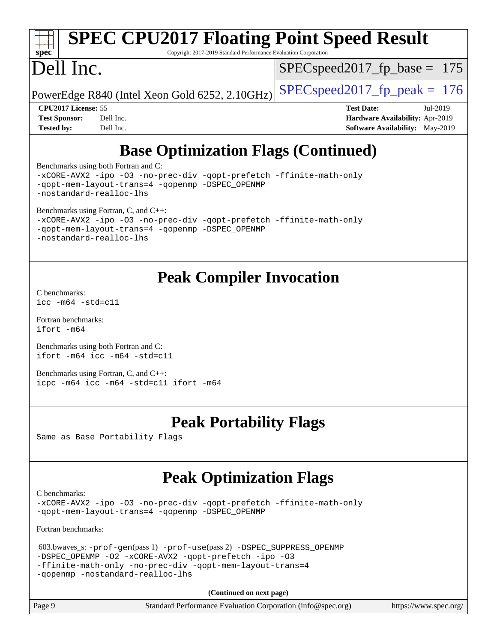| $Spec^*$             |                            |           | <b>SPEC CPU2017 Floating Point Speed Result</b><br>Copyright 2017-2019 Standard Performance Evaluation Corporation |                                 |                                 |          |  |
|----------------------|----------------------------|-----------|--------------------------------------------------------------------------------------------------------------------|---------------------------------|---------------------------------|----------|--|
|                      | Dell Inc.                  |           |                                                                                                                    | $SPEC speed2017_fp\_base = 175$ |                                 |          |  |
|                      |                            |           | PowerEdge R840 (Intel Xeon Gold 6252, 2.10GHz)                                                                     | $SPEC speed2017fp peak = 176$   |                                 |          |  |
|                      | <b>CPU2017 License: 55</b> |           |                                                                                                                    |                                 | <b>Test Date:</b>               | Jul-2019 |  |
| <b>Test Sponsor:</b> |                            | Dell Inc. |                                                                                                                    |                                 | Hardware Availability: Apr-2019 |          |  |
| <b>Tested by:</b>    |                            | Dell Inc. |                                                                                                                    |                                 | Software Availability: May-2019 |          |  |

### **[Base Optimization Flags \(Continued\)](http://www.spec.org/auto/cpu2017/Docs/result-fields.html#BaseOptimizationFlags)**

[Benchmarks using both Fortran and C](http://www.spec.org/auto/cpu2017/Docs/result-fields.html#BenchmarksusingbothFortranandC):

```
-xCORE-AVX2 -ipo -O3 -no-prec-div -qopt-prefetch -ffinite-math-only
-qopt-mem-layout-trans=4 -qopenmp -DSPEC_OPENMP
-nostandard-realloc-lhs
Benchmarks using Fortran, C, and C++: 
-xCORE-AVX2 -ipo -O3 -no-prec-div -qopt-prefetch -ffinite-math-only
-qopt-mem-layout-trans=4 -qopenmp -DSPEC_OPENMP
-nostandard-realloc-lhs
```
#### **[Peak Compiler Invocation](http://www.spec.org/auto/cpu2017/Docs/result-fields.html#PeakCompilerInvocation)**

[C benchmarks](http://www.spec.org/auto/cpu2017/Docs/result-fields.html#Cbenchmarks): [icc -m64 -std=c11](http://www.spec.org/cpu2017/results/res2019q3/cpu2017-20190805-16498.flags.html#user_CCpeak_intel_icc_64bit_c11_33ee0cdaae7deeeab2a9725423ba97205ce30f63b9926c2519791662299b76a0318f32ddfffdc46587804de3178b4f9328c46fa7c2b0cd779d7a61945c91cd35)

[Fortran benchmarks](http://www.spec.org/auto/cpu2017/Docs/result-fields.html#Fortranbenchmarks): [ifort -m64](http://www.spec.org/cpu2017/results/res2019q3/cpu2017-20190805-16498.flags.html#user_FCpeak_intel_ifort_64bit_24f2bb282fbaeffd6157abe4f878425411749daecae9a33200eee2bee2fe76f3b89351d69a8130dd5949958ce389cf37ff59a95e7a40d588e8d3a57e0c3fd751)

[Benchmarks using both Fortran and C](http://www.spec.org/auto/cpu2017/Docs/result-fields.html#BenchmarksusingbothFortranandC): [ifort -m64](http://www.spec.org/cpu2017/results/res2019q3/cpu2017-20190805-16498.flags.html#user_CC_FCpeak_intel_ifort_64bit_24f2bb282fbaeffd6157abe4f878425411749daecae9a33200eee2bee2fe76f3b89351d69a8130dd5949958ce389cf37ff59a95e7a40d588e8d3a57e0c3fd751) [icc -m64 -std=c11](http://www.spec.org/cpu2017/results/res2019q3/cpu2017-20190805-16498.flags.html#user_CC_FCpeak_intel_icc_64bit_c11_33ee0cdaae7deeeab2a9725423ba97205ce30f63b9926c2519791662299b76a0318f32ddfffdc46587804de3178b4f9328c46fa7c2b0cd779d7a61945c91cd35)

[Benchmarks using Fortran, C, and C++:](http://www.spec.org/auto/cpu2017/Docs/result-fields.html#BenchmarksusingFortranCandCXX) [icpc -m64](http://www.spec.org/cpu2017/results/res2019q3/cpu2017-20190805-16498.flags.html#user_CC_CXX_FCpeak_intel_icpc_64bit_4ecb2543ae3f1412ef961e0650ca070fec7b7afdcd6ed48761b84423119d1bf6bdf5cad15b44d48e7256388bc77273b966e5eb805aefd121eb22e9299b2ec9d9) [icc -m64 -std=c11](http://www.spec.org/cpu2017/results/res2019q3/cpu2017-20190805-16498.flags.html#user_CC_CXX_FCpeak_intel_icc_64bit_c11_33ee0cdaae7deeeab2a9725423ba97205ce30f63b9926c2519791662299b76a0318f32ddfffdc46587804de3178b4f9328c46fa7c2b0cd779d7a61945c91cd35) [ifort -m64](http://www.spec.org/cpu2017/results/res2019q3/cpu2017-20190805-16498.flags.html#user_CC_CXX_FCpeak_intel_ifort_64bit_24f2bb282fbaeffd6157abe4f878425411749daecae9a33200eee2bee2fe76f3b89351d69a8130dd5949958ce389cf37ff59a95e7a40d588e8d3a57e0c3fd751)

#### **[Peak Portability Flags](http://www.spec.org/auto/cpu2017/Docs/result-fields.html#PeakPortabilityFlags)**

Same as Base Portability Flags

#### **[Peak Optimization Flags](http://www.spec.org/auto/cpu2017/Docs/result-fields.html#PeakOptimizationFlags)**

[C benchmarks](http://www.spec.org/auto/cpu2017/Docs/result-fields.html#Cbenchmarks):

[-xCORE-AVX2](http://www.spec.org/cpu2017/results/res2019q3/cpu2017-20190805-16498.flags.html#user_CCpeak_f-xCORE-AVX2) [-ipo](http://www.spec.org/cpu2017/results/res2019q3/cpu2017-20190805-16498.flags.html#user_CCpeak_f-ipo) [-O3](http://www.spec.org/cpu2017/results/res2019q3/cpu2017-20190805-16498.flags.html#user_CCpeak_f-O3) [-no-prec-div](http://www.spec.org/cpu2017/results/res2019q3/cpu2017-20190805-16498.flags.html#user_CCpeak_f-no-prec-div) [-qopt-prefetch](http://www.spec.org/cpu2017/results/res2019q3/cpu2017-20190805-16498.flags.html#user_CCpeak_f-qopt-prefetch) [-ffinite-math-only](http://www.spec.org/cpu2017/results/res2019q3/cpu2017-20190805-16498.flags.html#user_CCpeak_f_finite_math_only_cb91587bd2077682c4b38af759c288ed7c732db004271a9512da14a4f8007909a5f1427ecbf1a0fb78ff2a814402c6114ac565ca162485bbcae155b5e4258871) [-qopt-mem-layout-trans=4](http://www.spec.org/cpu2017/results/res2019q3/cpu2017-20190805-16498.flags.html#user_CCpeak_f-qopt-mem-layout-trans_fa39e755916c150a61361b7846f310bcdf6f04e385ef281cadf3647acec3f0ae266d1a1d22d972a7087a248fd4e6ca390a3634700869573d231a252c784941a8) [-qopenmp](http://www.spec.org/cpu2017/results/res2019q3/cpu2017-20190805-16498.flags.html#user_CCpeak_qopenmp_16be0c44f24f464004c6784a7acb94aca937f053568ce72f94b139a11c7c168634a55f6653758ddd83bcf7b8463e8028bb0b48b77bcddc6b78d5d95bb1df2967) [-DSPEC\\_OPENMP](http://www.spec.org/cpu2017/results/res2019q3/cpu2017-20190805-16498.flags.html#suite_CCpeak_DSPEC_OPENMP)

[Fortran benchmarks](http://www.spec.org/auto/cpu2017/Docs/result-fields.html#Fortranbenchmarks):

```
 603.bwaves_s: -prof-gen(pass 1) -prof-use(pass 2) -DSPEC_SUPPRESS_OPENMP
-DSPEC_OPENMP -O2 -xCORE-AVX2 -qopt-prefetch -ipo -O3
-ffinite-math-only -no-prec-div -qopt-mem-layout-trans=4
-qopenmp -nostandard-realloc-lhs
```
**(Continued on next page)**

| Page 9 | Standard Performance Evaluation Corporation (info@spec.org) |  | https://www.spec.org/ |
|--------|-------------------------------------------------------------|--|-----------------------|
|--------|-------------------------------------------------------------|--|-----------------------|